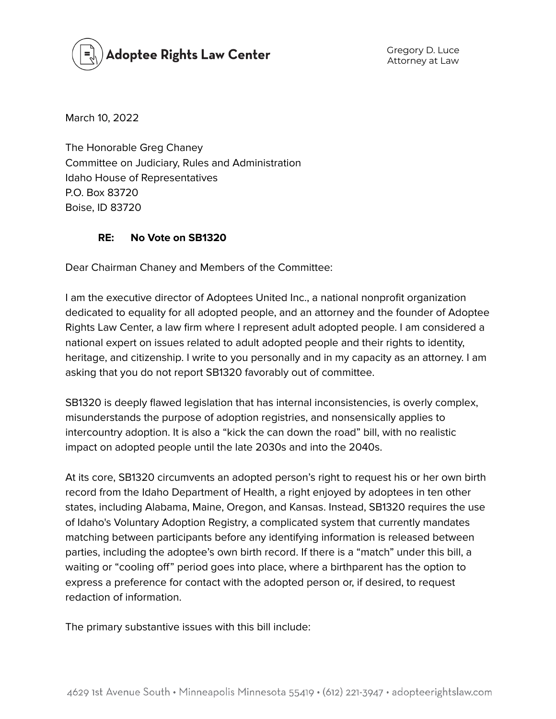

Gregory D. Luce Attorney at Law

March 10, 2022

The Honorable Greg Chaney Committee on Judiciary, Rules and Administration Idaho House of Representatives P.O. Box 83720 Boise, ID 83720

## **RE: No Vote on SB1320**

Dear Chairman Chaney and Members of the Committee:

I am the executive director of Adoptees United Inc., a national nonprofit organization dedicated to equality for all adopted people, and an attorney and the founder of Adoptee Rights Law Center, a law firm where I represent adult adopted people. I am considered a national expert on issues related to adult adopted people and their rights to identity, heritage, and citizenship. I write to you personally and in my capacity as an attorney. I am asking that you do not report SB1320 favorably out of committee.

SB1320 is deeply flawed legislation that has internal inconsistencies, is overly complex, misunderstands the purpose of adoption registries, and nonsensically applies to intercountry adoption. It is also a "kick the can down the road" bill, with no realistic impact on adopted people until the late 2030s and into the 2040s.

At its core, SB1320 circumvents an adopted person's right to request his or her own birth record from the Idaho Department of Health, a right enjoyed by adoptees in ten other states, including Alabama, Maine, Oregon, and Kansas. Instead, SB1320 requires the use of Idaho's Voluntary Adoption Registry, a complicated system that currently mandates matching between participants before any identifying information is released between parties, including the adoptee's own birth record. If there is a "match" under this bill, a waiting or "cooling off" period goes into place, where a birthparent has the option to express a preference for contact with the adopted person or, if desired, to request redaction of information.

The primary substantive issues with this bill include: